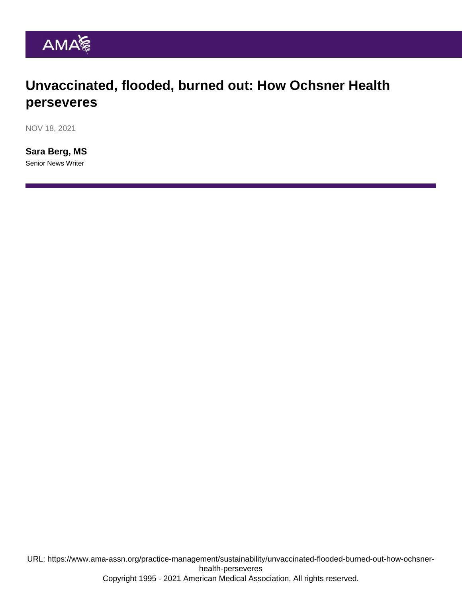## Unvaccinated, flooded, burned out: How Ochsner Health perseveres

NOV 18, 2021

[Sara Berg, MS](https://www.ama-assn.org/news-leadership-viewpoints/authors-news-leadership-viewpoints/sara-berg-ms) Senior News Writer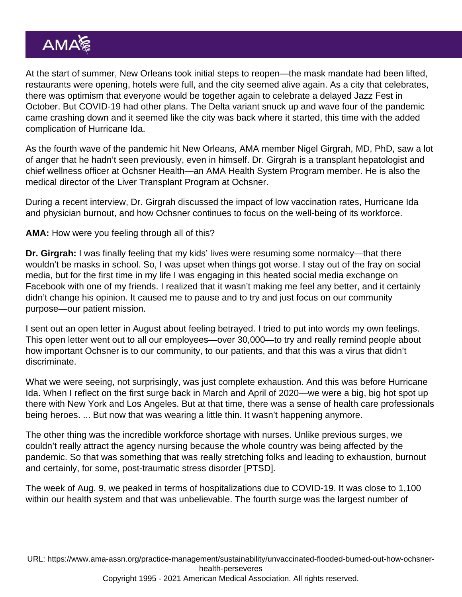At the start of summer, New Orleans took initial steps to reopen—the mask mandate had been lifted, restaurants were opening, hotels were full, and the city seemed alive again. As a city that celebrates, there was optimism that everyone would be together again to celebrate a delayed Jazz Fest in October. But COVID-19 had other plans. The [Delta variant](https://www.ama-assn.org/delivering-care/public-health/what-doctors-wish-patients-knew-about-dangerous-delta-variant) snuck up and wave four of the pandemic came crashing down and it seemed like the city was back where it started, this time with the added complication of Hurricane Ida.

As the fourth wave of the pandemic hit New Orleans, AMA member [Nigel Girgrah, MD, PhD](https://www.ama-assn.org/practice-management/physician-health/looking-upstream-answers-burnout), saw a lot of anger that he hadn't seen previously, even in himself. Dr. Girgrah is a transplant hepatologist and chief wellness officer at Ochsner Health—an [AMA Health System Program](https://www.ama-assn.org/amaone/ama-health-system-program) member. He is also the medical director of the Liver Transplant Program at Ochsner.

During a recent interview, [Dr. Girgrah](https://www.ama-assn.org/residents-students/specialty-profiles/what-it-s-specialize-transplant-hepatology-shadowing-dr) discussed the impact of low vaccination rates, Hurricane Ida and physician burnout, and how Ochsner continues to focus on the well-being of its workforce.

AMA: How were you feeling through all of this?

Dr. Girgrah: I was finally feeling that my kids' lives were resuming some normalcy—that there wouldn't be masks in school. So, I was upset when things got worse. I stay out of the fray on social media, but for the first time in my life I was engaging in this heated social media exchange on Facebook with one of my friends. I realized that it wasn't making me feel any better, and it certainly didn't change his opinion. It caused me to pause and to try and just focus on our community purpose—our patient mission.

I sent out an open letter in August about feeling betrayed. I tried to put into words my own feelings. This open letter went out to all our employees—over 30,000—to try and really remind people about how important Ochsner is to our community, to our patients, and that this was a virus that didn't discriminate.

What we were seeing, not surprisingly, was just complete exhaustion. And this was before Hurricane Ida. When I reflect on the first surge back in March and April of 2020—we were a big, big hot spot up there with New York and Los Angeles. But at that time, there was a sense of health care professionals being heroes. ... But now that was wearing a little thin. It wasn't happening anymore.

The other thing was the incredible workforce shortage with nurses. Unlike previous surges, we couldn't really attract the agency nursing because the whole country was being affected by the pandemic. So that was something that was really stretching folks and leading to exhaustion, burnout and certainly, for some, post-traumatic stress disorder [PTSD].

The week of Aug. 9, we peaked in terms of hospitalizations due to COVID-19. It was close to 1,100 within our health system and that was unbelievable. The fourth surge was the largest number of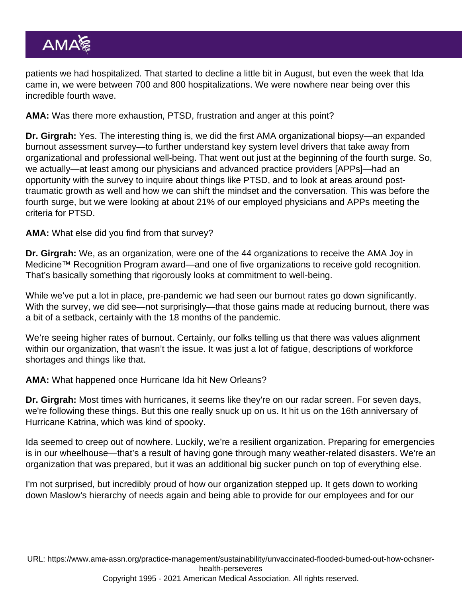patients we had hospitalized. That started to decline a little bit in August, but even the week that Ida came in, we were between 700 and 800 hospitalizations. We were nowhere near being over this incredible fourth wave.

AMA: Was there more exhaustion, [PTSD](https://www.ama-assn.org/practice-management/physician-health/well-being-resources-should-extend-beyond-crisis-include-ptsd), frustration and anger at this point?

Dr. Girgrah: Yes. The interesting thing is, we did the first AMA organizational biopsy—an expanded burnout assessment survey—to further understand key system level drivers that take away from organizational and professional well-being. That went out just at the beginning of the fourth surge. So, we actually—at least among our physicians and advanced practice providers [APPs]—had an opportunity with the survey to inquire about things like PTSD, and to look at areas around posttraumatic growth as well and how we can shift the mindset and the conversation. This was before the fourth surge, but we were looking at about 21% of our employed physicians and APPs meeting the criteria for PTSD.

AMA: What else did you find from that survey?

Dr. Girgrah: We, as an organization, were one of the 44 organizations to receive the [AMA Joy in](https://www.ama-assn.org/practice-management/sustainability/joy-medicine-health-system-recognition-program) [Medicine™ Recognition Program](https://www.ama-assn.org/practice-management/sustainability/joy-medicine-health-system-recognition-program) award—and one of five organizations to receive gold recognition. That's basically something that rigorously looks at commitment to well-being.

While we've put a lot in place, pre-pandemic we had seen our burnout rates go down significantly. With the survey, we did see—not surprisingly—that those gains made at reducing burnout, there was a bit of a setback, certainly with the 18 months of the pandemic.

We're seeing higher rates of burnout. Certainly, our folks telling us that there was values alignment within our organization, that wasn't the issue. It was just a lot of fatigue, descriptions of workforce shortages and things like that.

AMA: What happened once Hurricane Ida hit New Orleans?

Dr. Girgrah: Most times with hurricanes, it seems like they're on our radar screen. For seven days, we're following these things. But this one really snuck up on us. It hit us on the 16th anniversary of Hurricane Katrina, which was kind of spooky.

Ida seemed to creep out of nowhere. Luckily, we're a resilient organization. Preparing for emergencies is in our wheelhouse—that's a result of having gone through many weather-related disasters. We're an organization that was prepared, but it was an additional big sucker punch on top of everything else.

I'm not surprised, but incredibly proud of how our organization stepped up. It gets down to working down Maslow's hierarchy of needs again and being able to provide for our employees and for our

URL: [https://www.ama-assn.org/practice-management/sustainability/unvaccinated-flooded-burned-out-how-ochsner](https://www.ama-assn.org/practice-management/sustainability/unvaccinated-flooded-burned-out-how-ochsner-health-perseveres)[health-perseveres](https://www.ama-assn.org/practice-management/sustainability/unvaccinated-flooded-burned-out-how-ochsner-health-perseveres)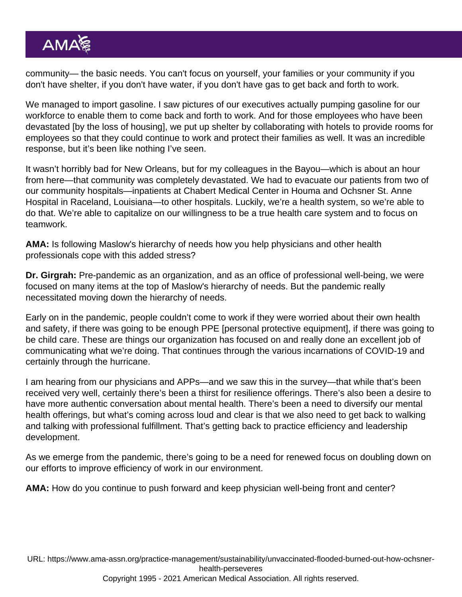community— the basic needs. You can't focus on yourself, your families or your community if you don't have shelter, if you don't have water, if you don't have gas to get back and forth to work.

We managed to import gasoline. I saw pictures of our executives actually pumping gasoline for our workforce to enable them to come back and forth to work. And for those employees who have been devastated [by the loss of housing], we put up shelter by collaborating with hotels to provide rooms for employees so that they could continue to work and protect their families as well. It was an incredible response, but it's been like nothing I've seen.

It wasn't horribly bad for New Orleans, but for my colleagues in the Bayou—which is about an hour from here—that community was completely devastated. We had to evacuate our patients from two of our community hospitals—inpatients at Chabert Medical Center in Houma and Ochsner St. Anne Hospital in Raceland, Louisiana—to other hospitals. Luckily, we're a health system, so we're able to do that. We're able to capitalize on our willingness to be a true health care system and to focus on teamwork.

AMA: Is following Maslow's hierarchy of needs how you help physicians and other health professionals cope with this [added stress?](https://www.ama-assn.org/practice-management/physician-health/5-factors-contributing-physician-stress-during-pandemic)

Dr. Girgrah: Pre-pandemic as an organization, and as an office of professional well-being, we were focused on many items at the top of Maslow's hierarchy of needs. But the pandemic really necessitated moving down the hierarchy of needs.

Early on in the pandemic, people couldn't come to work if they were worried about their own health and safety, if there was going to be enough PPE [personal protective equipment], if there was going to be child care. These are things our organization has focused on and really done an excellent job of communicating what we're doing. That continues through the various incarnations of COVID-19 and certainly through the hurricane.

I am hearing from our physicians and APPs—and we saw this in the survey—that while that's been received very well, certainly there's been a thirst for resilience offerings. There's also been a desire to have more authentic conversation about mental health. There's been a need to diversify our mental health offerings, but what's coming across loud and clear is that we also need to get back to walking and talking with professional fulfillment. That's getting back to practice efficiency and leadership development.

As we emerge from the pandemic, there's going to be a need for renewed focus on doubling down on our efforts to improve efficiency of work in our environment.

AMA: How do you continue to push forward and keep [physician well-being](https://www.ama-assn.org/practice-management/physician-health/6-changes-ochsner-made-during-pandemic-protect-physicians) front and center?

URL: [https://www.ama-assn.org/practice-management/sustainability/unvaccinated-flooded-burned-out-how-ochsner](https://www.ama-assn.org/practice-management/sustainability/unvaccinated-flooded-burned-out-how-ochsner-health-perseveres)[health-perseveres](https://www.ama-assn.org/practice-management/sustainability/unvaccinated-flooded-burned-out-how-ochsner-health-perseveres)